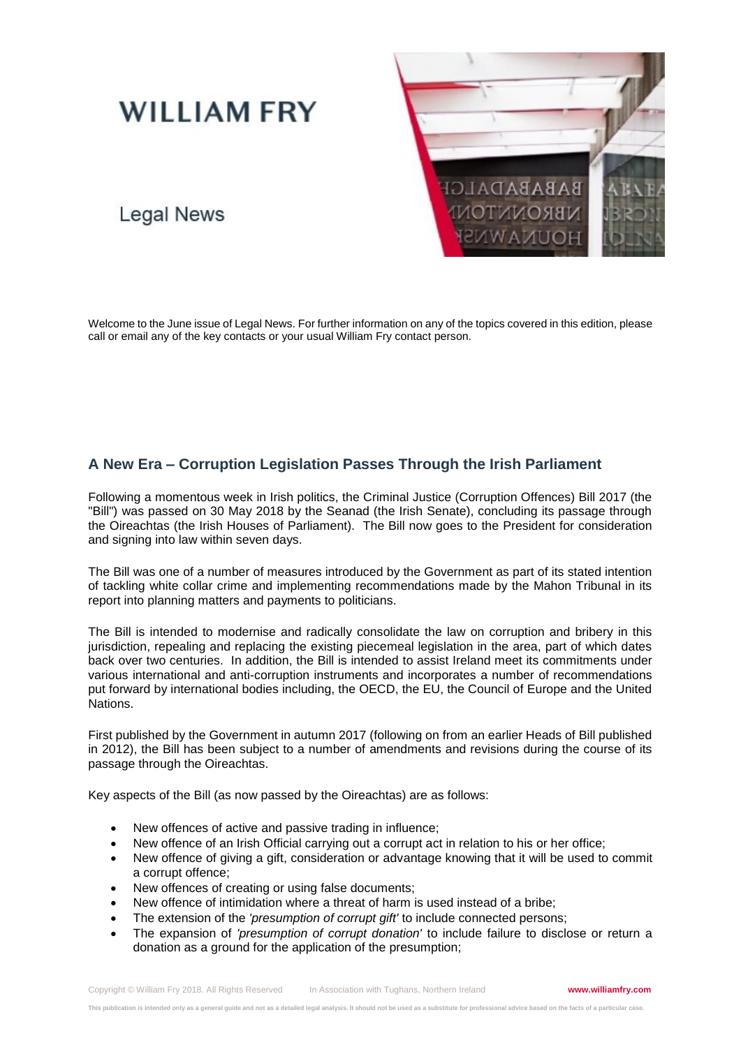# **WILLIAM FRY**

## **Legal News**



Welcome to the June issue of Legal News. For further information on any of the topics covered in this edition, please call or email any of the key contacts or your usual William Fry contact person.

## **A New Era – Corruption Legislation Passes Through the Irish Parliament**

Following a momentous week in Irish politics, the Criminal Justice (Corruption Offences) Bill 2017 (the "Bill") was passed on 30 May 2018 by the Seanad (the Irish Senate), concluding its passage through the Oireachtas (the Irish Houses of Parliament). The Bill now goes to the President for consideration and signing into law within seven days.

The Bill was one of a number of measures introduced by the Government as part of its stated intention of tackling white collar crime and implementing recommendations made by the Mahon Tribunal in its report into planning matters and payments to politicians.

The Bill is intended to modernise and radically consolidate the law on corruption and bribery in this jurisdiction, repealing and replacing the existing piecemeal legislation in the area, part of which dates back over two centuries. In addition, the Bill is intended to assist Ireland meet its commitments under various international and anti-corruption instruments and incorporates a number of recommendations put forward by international bodies including, the OECD, the EU, the Council of Europe and the United Nations.

First published by the Government in autumn 2017 (following on from an earlier Heads of Bill published in 2012), the Bill has been subject to a number of amendments and revisions during the course of its passage through the Oireachtas.

Key aspects of the Bill (as now passed by the Oireachtas) are as follows:

- New offences of active and passive trading in influence;
- New offence of an Irish Official carrying out a corrupt act in relation to his or her office;
- New offence of giving a gift, consideration or advantage knowing that it will be used to commit a corrupt offence;
- New offences of creating or using false documents;
- New offence of intimidation where a threat of harm is used instead of a bribe;
- The extension of the *'presumption of corrupt gift'* to include connected persons;
- The expansion of *'presumption of corrupt donation'* to include failure to disclose or return a donation as a ground for the application of the presumption;

**This publication is intended only as a general guide and not as a detailed legal analysis. It should not be used as a substitute for professional advice based on the facts of a particular case.**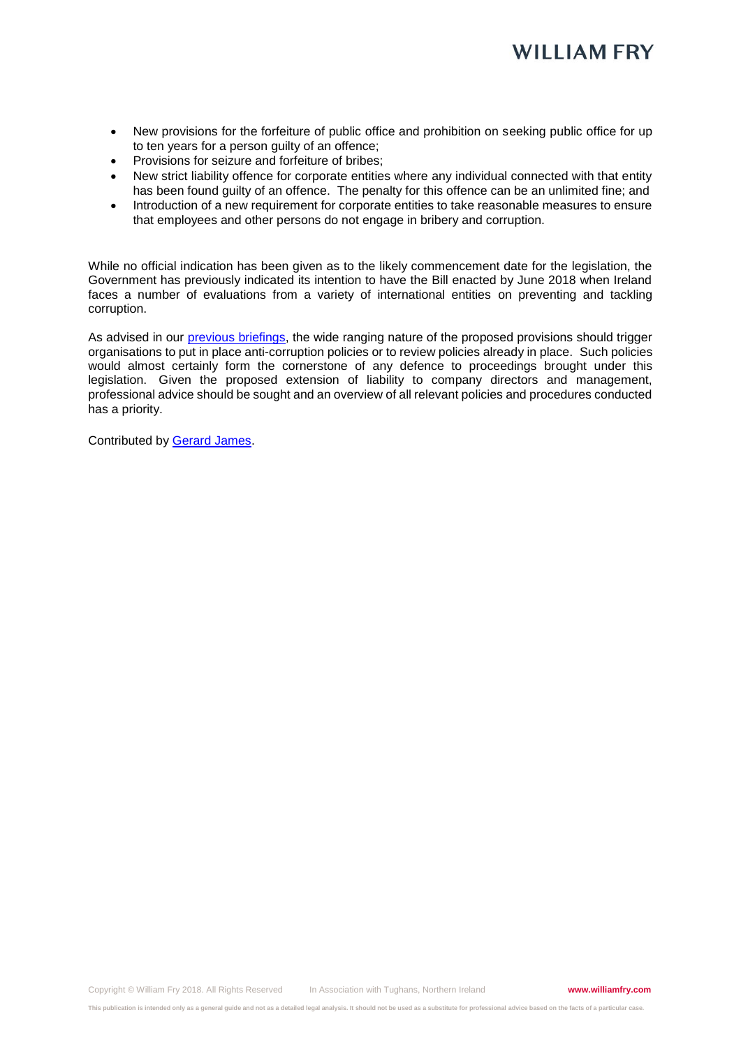- New provisions for the forfeiture of public office and prohibition on seeking public office for up to ten years for a person guilty of an offence;
- Provisions for seizure and forfeiture of bribes;
- New strict liability offence for corporate entities where any individual connected with that entity has been found guilty of an offence. The penalty for this offence can be an unlimited fine; and
- Introduction of a new requirement for corporate entities to take reasonable measures to ensure that employees and other persons do not engage in bribery and corruption.

While no official indication has been given as to the likely commencement date for the legislation, the Government has previously indicated its intention to have the Bill enacted by June 2018 when Ireland faces a number of evaluations from a variety of international entities on preventing and tackling corruption.

As advised in our [previous briefings,](https://www.williamfry.com/newsandinsights/news-article/2017/11/03/new-bill-proposes-to-modernise-and-consolidate-irish-anti-corruption-and-bribery-laws) the wide ranging nature of the proposed provisions should trigger organisations to put in place anti-corruption policies or to review policies already in place. Such policies would almost certainly form the cornerstone of any defence to proceedings brought under this legislation. Given the proposed extension of liability to company directors and management, professional advice should be sought and an overview of all relevant policies and procedures conducted has a priority.

Contributed by [Gerard James.](https://www.williamfry.com/our-people/bio/gerard-james)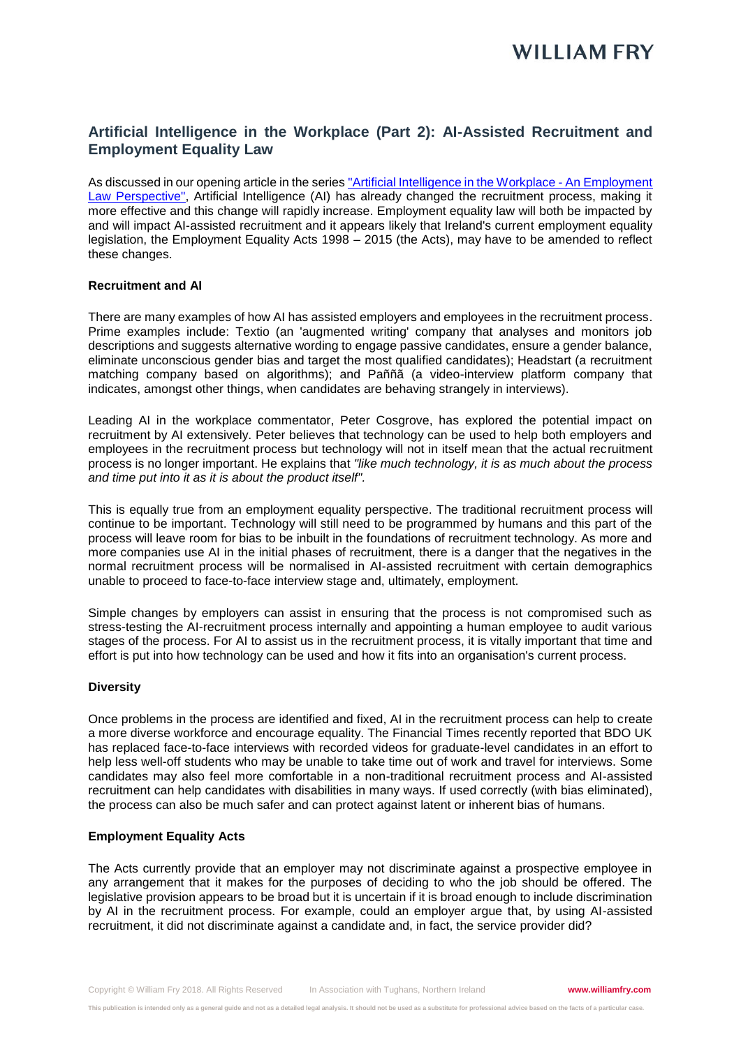## **Artificial Intelligence in the Workplace (Part 2): AI-Assisted Recruitment and Employment Equality Law**

As discussed in our opening article in the series ["Artificial Intelligence in the Workplace -](https://www.williamfry.com/newsandinsights/news-article/2018/04/25/artificial-intelligence-in-the-workplace-an-employment-law-perspective) An Employment [Law Perspective",](https://www.williamfry.com/newsandinsights/news-article/2018/04/25/artificial-intelligence-in-the-workplace-an-employment-law-perspective) Artificial Intelligence (AI) has already changed the recruitment process, making it more effective and this change will rapidly increase. Employment equality law will both be impacted by and will impact AI-assisted recruitment and it appears likely that Ireland's current employment equality legislation, the Employment Equality Acts 1998 – 2015 (the Acts), may have to be amended to reflect these changes.

#### **Recruitment and AI**

There are many examples of how AI has assisted employers and employees in the recruitment process. Prime examples include: Textio (an 'augmented writing' company that analyses and monitors job descriptions and suggests alternative wording to engage passive candidates, ensure a gender balance, eliminate unconscious gender bias and target the most qualified candidates); Headstart (a recruitment matching company based on algorithms); and Paññã (a video-interview platform company that indicates, amongst other things, when candidates are behaving strangely in interviews).

Leading AI in the workplace commentator, Peter Cosgrove, has explored the potential impact on recruitment by AI extensively. Peter believes that technology can be used to help both employers and employees in the recruitment process but technology will not in itself mean that the actual recruitment process is no longer important. He explains that *"like much technology, it is as much about the process and time put into it as it is about the product itself".*

This is equally true from an employment equality perspective. The traditional recruitment process will continue to be important. Technology will still need to be programmed by humans and this part of the process will leave room for bias to be inbuilt in the foundations of recruitment technology. As more and more companies use AI in the initial phases of recruitment, there is a danger that the negatives in the normal recruitment process will be normalised in AI-assisted recruitment with certain demographics unable to proceed to face-to-face interview stage and, ultimately, employment.

Simple changes by employers can assist in ensuring that the process is not compromised such as stress-testing the AI-recruitment process internally and appointing a human employee to audit various stages of the process. For AI to assist us in the recruitment process, it is vitally important that time and effort is put into how technology can be used and how it fits into an organisation's current process.

#### **Diversity**

Once problems in the process are identified and fixed, AI in the recruitment process can help to create a more diverse workforce and encourage equality. The Financial Times recently reported that BDO UK has replaced face-to-face interviews with recorded videos for graduate-level candidates in an effort to help less well-off students who may be unable to take time out of work and travel for interviews. Some candidates may also feel more comfortable in a non-traditional recruitment process and AI-assisted recruitment can help candidates with disabilities in many ways. If used correctly (with bias eliminated), the process can also be much safer and can protect against latent or inherent bias of humans.

#### **Employment Equality Acts**

The Acts currently provide that an employer may not discriminate against a prospective employee in any arrangement that it makes for the purposes of deciding to who the job should be offered. The legislative provision appears to be broad but it is uncertain if it is broad enough to include discrimination by AI in the recruitment process. For example, could an employer argue that, by using AI-assisted recruitment, it did not discriminate against a candidate and, in fact, the service provider did?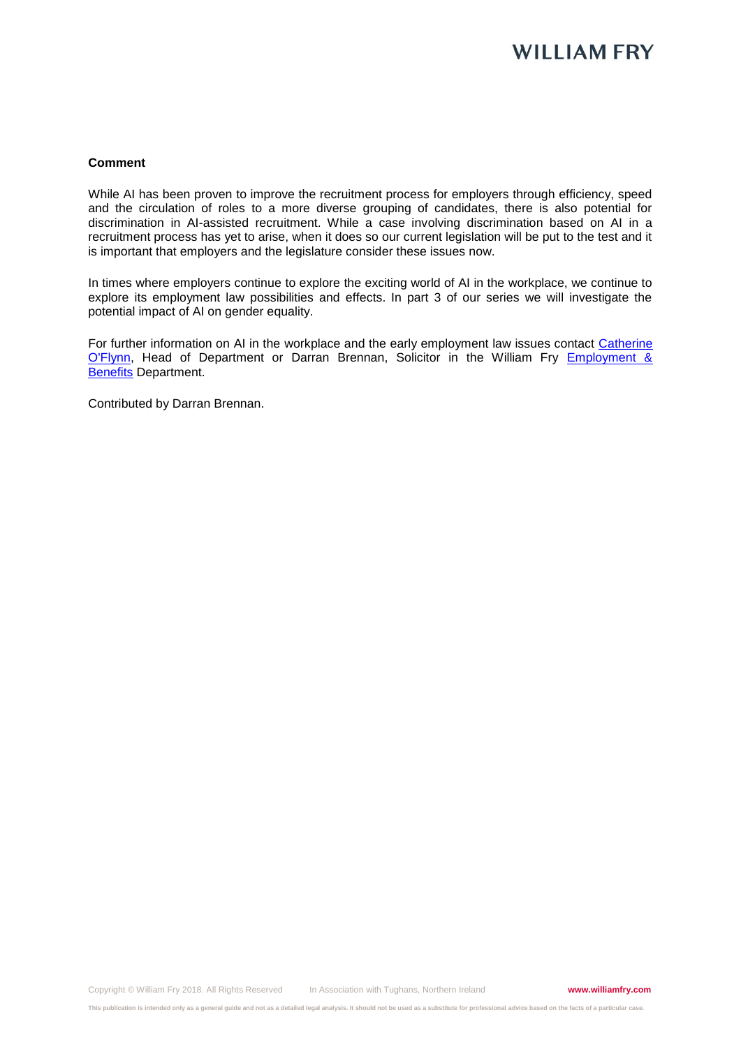## **WILLIAM FRY**

#### **Comment**

While AI has been proven to improve the recruitment process for employers through efficiency, speed and the circulation of roles to a more diverse grouping of candidates, there is also potential for discrimination in AI-assisted recruitment. While a case involving discrimination based on AI in a recruitment process has yet to arise, when it does so our current legislation will be put to the test and it is important that employers and the legislature consider these issues now.

In times where employers continue to explore the exciting world of AI in the workplace, we continue to explore its employment law possibilities and effects. In part 3 of our series we will investigate the potential impact of AI on gender equality.

For further information on AI in the workplace and the early employment law issues contact Catherine [O'Flynn,](https://www.williamfry.com/our-people/bio/catherine-o) Head of Department or Darran Brennan, Solicitor in the William Fry Employment & **[Benefits](https://www.williamfry.com/our-services/practice-area/employment--benefits) Department.** 

Contributed by Darran Brennan.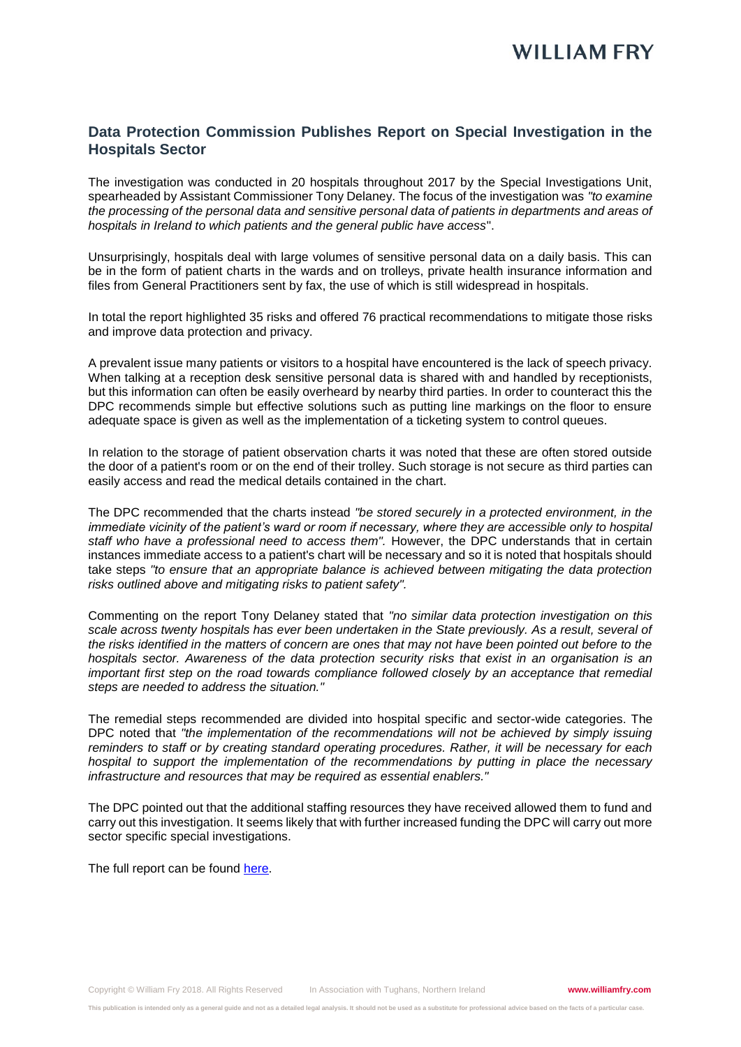## **Data Protection Commission Publishes Report on Special Investigation in the Hospitals Sector**

The investigation was conducted in 20 hospitals throughout 2017 by the Special Investigations Unit, spearheaded by Assistant Commissioner Tony Delaney. The focus of the investigation was *"to examine the processing of the personal data and sensitive personal data of patients in departments and areas of hospitals in Ireland to which patients and the general public have access*".

Unsurprisingly, hospitals deal with large volumes of sensitive personal data on a daily basis. This can be in the form of patient charts in the wards and on trolleys, private health insurance information and files from General Practitioners sent by fax, the use of which is still widespread in hospitals.

In total the report highlighted 35 risks and offered 76 practical recommendations to mitigate those risks and improve data protection and privacy.

A prevalent issue many patients or visitors to a hospital have encountered is the lack of speech privacy. When talking at a reception desk sensitive personal data is shared with and handled by receptionists, but this information can often be easily overheard by nearby third parties. In order to counteract this the DPC recommends simple but effective solutions such as putting line markings on the floor to ensure adequate space is given as well as the implementation of a ticketing system to control queues.

In relation to the storage of patient observation charts it was noted that these are often stored outside the door of a patient's room or on the end of their trolley. Such storage is not secure as third parties can easily access and read the medical details contained in the chart.

The DPC recommended that the charts instead *"be stored securely in a protected environment, in the immediate vicinity of the patient's ward or room if necessary, where they are accessible only to hospital staff who have a professional need to access them".* However, the DPC understands that in certain instances immediate access to a patient's chart will be necessary and so it is noted that hospitals should take steps *"to ensure that an appropriate balance is achieved between mitigating the data protection risks outlined above and mitigating risks to patient safety".*

Commenting on the report Tony Delaney stated that *"no similar data protection investigation on this scale across twenty hospitals has ever been undertaken in the State previously. As a result, several of the risks identified in the matters of concern are ones that may not have been pointed out before to the hospitals sector. Awareness of the data protection security risks that exist in an organisation is an important first step on the road towards compliance followed closely by an acceptance that remedial steps are needed to address the situation."*

The remedial steps recommended are divided into hospital specific and sector-wide categories. The DPC noted that "the implementation of the recommendations will not be achieved by simply issuing *reminders to staff or by creating standard operating procedures. Rather, it will be necessary for each hospital to support the implementation of the recommendations by putting in place the necessary infrastructure and resources that may be required as essential enablers."*

The DPC pointed out that the additional staffing resources they have received allowed them to fund and carry out this investigation. It seems likely that with further increased funding the DPC will carry out more sector specific special investigations.

The full report can be found [here.](https://dataprotection.ie/docimages/documents/DPC%20-%20Hospitals%20Sector%20Overall%20Report%20.pdf)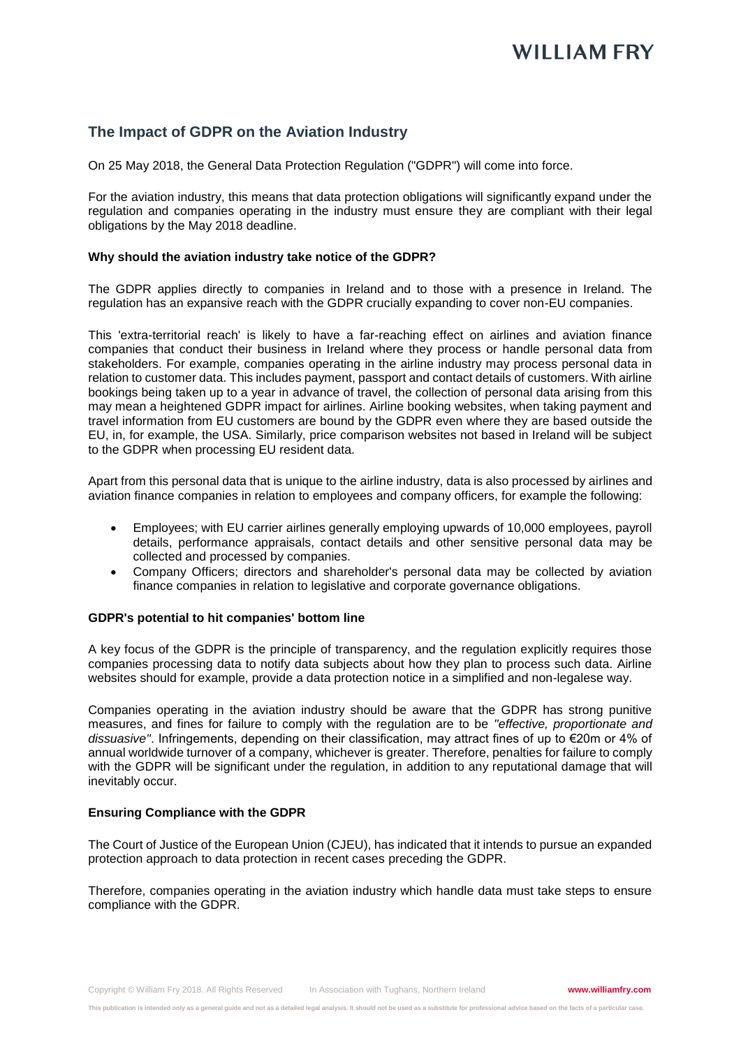## **The Impact of GDPR on the Aviation Industry**

On 25 May 2018, the General Data Protection Regulation ("GDPR") will come into force.

For the aviation industry, this means that data protection obligations will significantly expand under the regulation and companies operating in the industry must ensure they are compliant with their legal obligations by the May 2018 deadline.

#### **Why should the aviation industry take notice of the GDPR?**

The GDPR applies directly to companies in Ireland and to those with a presence in Ireland. The regulation has an expansive reach with the GDPR crucially expanding to cover non-EU companies.

This 'extra-territorial reach' is likely to have a far-reaching effect on airlines and aviation finance companies that conduct their business in Ireland where they process or handle personal data from stakeholders. For example, companies operating in the airline industry may process personal data in relation to customer data. This includes payment, passport and contact details of customers. With airline bookings being taken up to a year in advance of travel, the collection of personal data arising from this may mean a heightened GDPR impact for airlines. Airline booking websites, when taking payment and travel information from EU customers are bound by the GDPR even where they are based outside the EU, in, for example, the USA. Similarly, price comparison websites not based in Ireland will be subject to the GDPR when processing EU resident data.

Apart from this personal data that is unique to the airline industry, data is also processed by airlines and aviation finance companies in relation to employees and company officers, for example the following:

- Employees; with EU carrier airlines generally employing upwards of 10,000 employees, payroll details, performance appraisals, contact details and other sensitive personal data may be collected and processed by companies.
- Company Officers; directors and shareholder's personal data may be collected by aviation finance companies in relation to legislative and corporate governance obligations.

#### **GDPR's potential to hit companies' bottom line**

A key focus of the GDPR is the principle of transparency, and the regulation explicitly requires those companies processing data to notify data subjects about how they plan to process such data. Airline websites should for example, provide a data protection notice in a simplified and non-legalese way.

Companies operating in the aviation industry should be aware that the GDPR has strong punitive measures, and fines for failure to comply with the regulation are to be *''effective, proportionate and dissuasive''*. Infringements, depending on their classification, may attract fines of up to €20m or 4% of annual worldwide turnover of a company, whichever is greater. Therefore, penalties for failure to comply with the GDPR will be significant under the regulation, in addition to any reputational damage that will inevitably occur.

#### **Ensuring Compliance with the GDPR**

The Court of Justice of the European Union (CJEU), has indicated that it intends to pursue an expanded protection approach to data protection in recent cases preceding the GDPR.

Therefore, companies operating in the aviation industry which handle data must take steps to ensure compliance with the GDPR.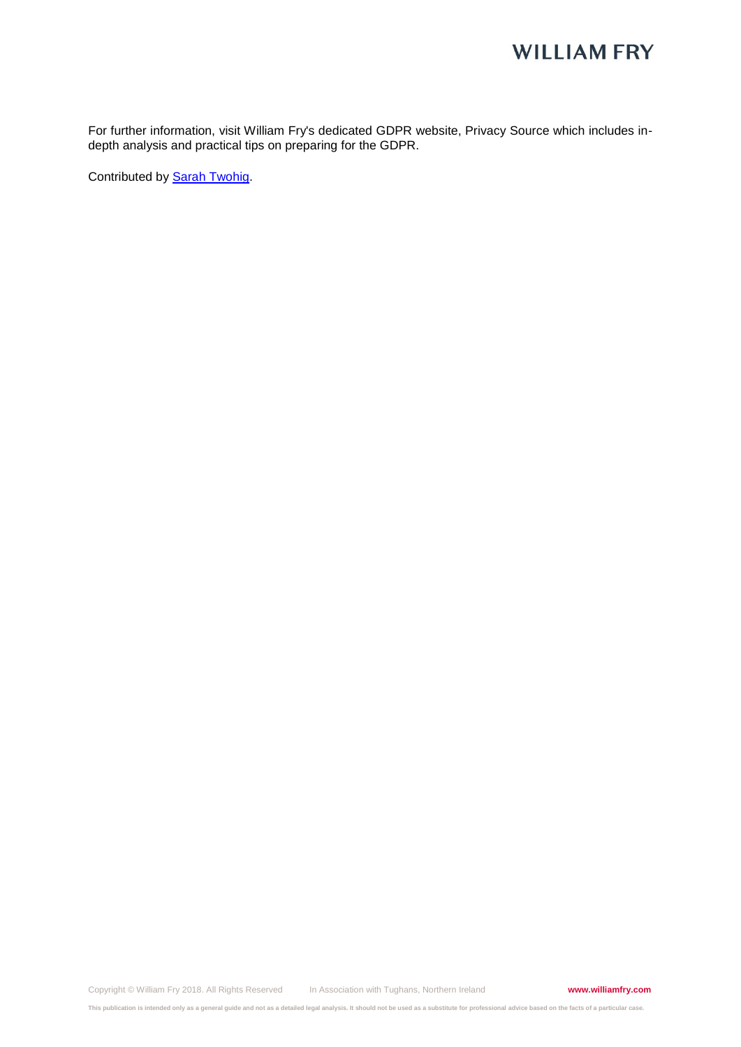## **WILLIAM FRY**

For further information, visit William Fry's dedicated GDPR website, Privacy Source which includes indepth analysis and practical tips on preparing for the GDPR.

Contributed by [Sarah Twohig.](https://www.williamfry.com/our-people/bio/sarah-twohig)

Copyright © William Fry 2018. All Rights Reserved In Association with Tughans, Northern Ireland **www.williamfry.com**

**This publication is intended only as a general guide and not as a detailed legal analysis. It should not be used as a substitute for professional advice based on the facts of a particular case.**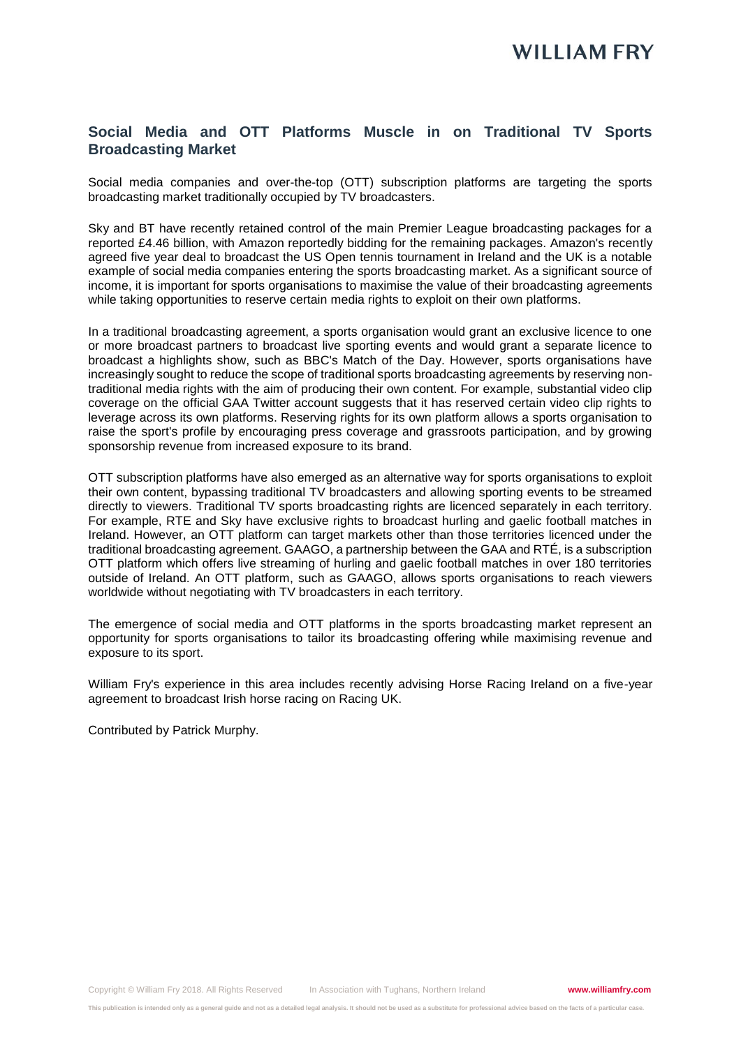## **Social Media and OTT Platforms Muscle in on Traditional TV Sports Broadcasting Market**

Social media companies and over-the-top (OTT) subscription platforms are targeting the sports broadcasting market traditionally occupied by TV broadcasters.

Sky and BT have recently retained control of the main Premier League broadcasting packages for a reported £4.46 billion, with Amazon reportedly bidding for the remaining packages. Amazon's recently agreed five year deal to broadcast the US Open tennis tournament in Ireland and the UK is a notable example of social media companies entering the sports broadcasting market. As a significant source of income, it is important for sports organisations to maximise the value of their broadcasting agreements while taking opportunities to reserve certain media rights to exploit on their own platforms.

In a traditional broadcasting agreement, a sports organisation would grant an exclusive licence to one or more broadcast partners to broadcast live sporting events and would grant a separate licence to broadcast a highlights show, such as BBC's Match of the Day. However, sports organisations have increasingly sought to reduce the scope of traditional sports broadcasting agreements by reserving nontraditional media rights with the aim of producing their own content. For example, substantial video clip coverage on the official GAA Twitter account suggests that it has reserved certain video clip rights to leverage across its own platforms. Reserving rights for its own platform allows a sports organisation to raise the sport's profile by encouraging press coverage and grassroots participation, and by growing sponsorship revenue from increased exposure to its brand.

OTT subscription platforms have also emerged as an alternative way for sports organisations to exploit their own content, bypassing traditional TV broadcasters and allowing sporting events to be streamed directly to viewers. Traditional TV sports broadcasting rights are licenced separately in each territory. For example, RTE and Sky have exclusive rights to broadcast hurling and gaelic football matches in Ireland. However, an OTT platform can target markets other than those territories licenced under the traditional broadcasting agreement. GAAGO, a partnership between the GAA and RTÉ, is a subscription OTT platform which offers live streaming of hurling and gaelic football matches in over 180 territories outside of Ireland. An OTT platform, such as GAAGO, allows sports organisations to reach viewers worldwide without negotiating with TV broadcasters in each territory.

The emergence of social media and OTT platforms in the sports broadcasting market represent an opportunity for sports organisations to tailor its broadcasting offering while maximising revenue and exposure to its sport.

William Fry's experience in this area includes recently advising Horse Racing Ireland on a five-year agreement to broadcast Irish horse racing on Racing UK.

Contributed by Patrick Murphy.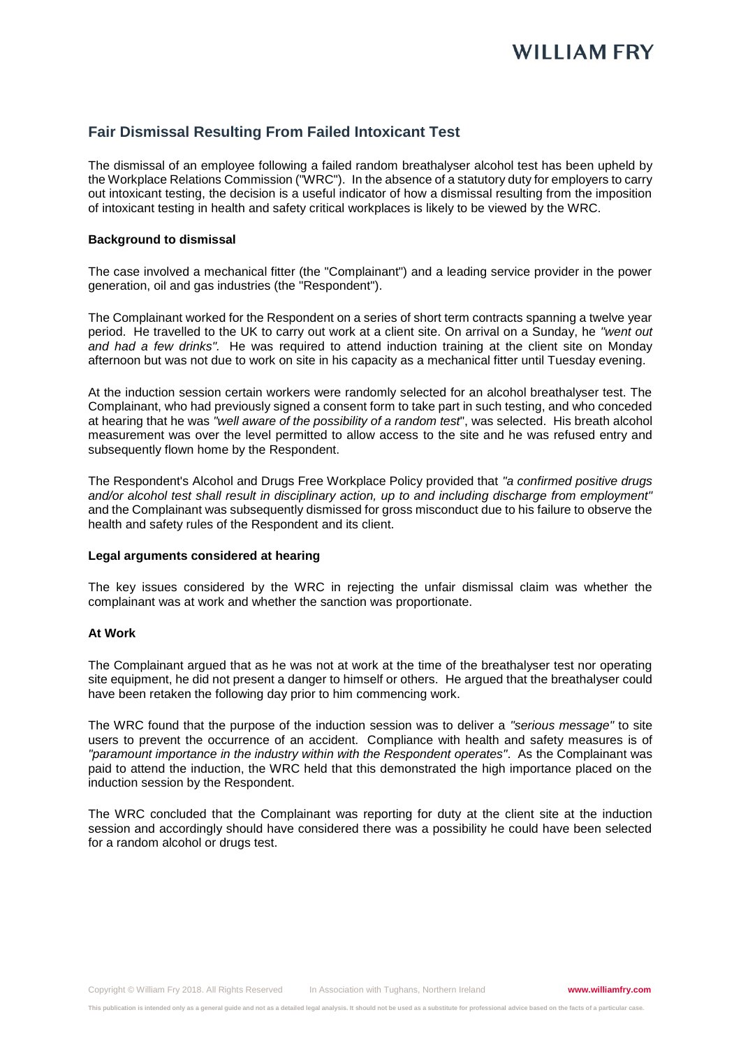## **Fair Dismissal Resulting From Failed Intoxicant Test**

The dismissal of an employee following a failed random breathalyser alcohol test has been upheld by the Workplace Relations Commission ("WRC"). In the absence of a statutory duty for employers to carry out intoxicant testing, the decision is a useful indicator of how a dismissal resulting from the imposition of intoxicant testing in health and safety critical workplaces is likely to be viewed by the WRC.

#### **Background to dismissal**

The case involved a mechanical fitter (the "Complainant") and a leading service provider in the power generation, oil and gas industries (the "Respondent").

The Complainant worked for the Respondent on a series of short term contracts spanning a twelve year period. He travelled to the UK to carry out work at a client site. On arrival on a Sunday, he *"went out and had a few drinks".* He was required to attend induction training at the client site on Monday afternoon but was not due to work on site in his capacity as a mechanical fitter until Tuesday evening.

At the induction session certain workers were randomly selected for an alcohol breathalyser test. The Complainant, who had previously signed a consent form to take part in such testing, and who conceded at hearing that he was *"well aware of the possibility of a random test*", was selected. His breath alcohol measurement was over the level permitted to allow access to the site and he was refused entry and subsequently flown home by the Respondent.

The Respondent's Alcohol and Drugs Free Workplace Policy provided that *"a confirmed positive drugs and/or alcohol test shall result in disciplinary action, up to and including discharge from employment"*  and the Complainant was subsequently dismissed for gross misconduct due to his failure to observe the health and safety rules of the Respondent and its client.

#### **Legal arguments considered at hearing**

The key issues considered by the WRC in rejecting the unfair dismissal claim was whether the complainant was at work and whether the sanction was proportionate.

#### **At Work**

The Complainant argued that as he was not at work at the time of the breathalyser test nor operating site equipment, he did not present a danger to himself or others. He argued that the breathalyser could have been retaken the following day prior to him commencing work.

The WRC found that the purpose of the induction session was to deliver a *"serious message"* to site users to prevent the occurrence of an accident. Compliance with health and safety measures is of *"paramount importance in the industry within with the Respondent operates"*. As the Complainant was paid to attend the induction, the WRC held that this demonstrated the high importance placed on the induction session by the Respondent.

The WRC concluded that the Complainant was reporting for duty at the client site at the induction session and accordingly should have considered there was a possibility he could have been selected for a random alcohol or drugs test.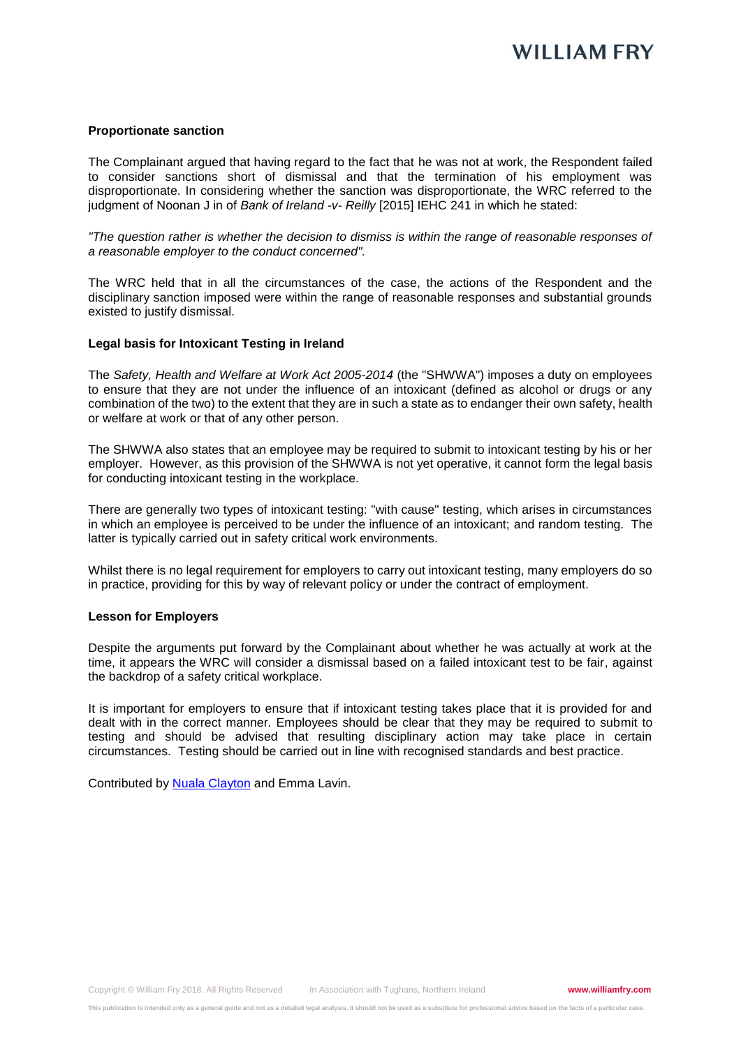#### **Proportionate sanction**

The Complainant argued that having regard to the fact that he was not at work, the Respondent failed to consider sanctions short of dismissal and that the termination of his employment was disproportionate. In considering whether the sanction was disproportionate, the WRC referred to the judgment of Noonan J in of *Bank of Ireland -v- Reilly* [2015] IEHC 241 in which he stated:

*"The question rather is whether the decision to dismiss is within the range of reasonable responses of a reasonable employer to the conduct concerned".*

The WRC held that in all the circumstances of the case, the actions of the Respondent and the disciplinary sanction imposed were within the range of reasonable responses and substantial grounds existed to justify dismissal.

#### **Legal basis for Intoxicant Testing in Ireland**

The *Safety, Health and Welfare at Work Act 2005-2014* (the "SHWWA") imposes a duty on employees to ensure that they are not under the influence of an intoxicant (defined as alcohol or drugs or any combination of the two) to the extent that they are in such a state as to endanger their own safety, health or welfare at work or that of any other person.

The SHWWA also states that an employee may be required to submit to intoxicant testing by his or her employer. However, as this provision of the SHWWA is not yet operative, it cannot form the legal basis for conducting intoxicant testing in the workplace.

There are generally two types of intoxicant testing: "with cause" testing, which arises in circumstances in which an employee is perceived to be under the influence of an intoxicant; and random testing. The latter is typically carried out in safety critical work environments.

Whilst there is no legal requirement for employers to carry out intoxicant testing, many employers do so in practice, providing for this by way of relevant policy or under the contract of employment.

#### **Lesson for Employers**

Despite the arguments put forward by the Complainant about whether he was actually at work at the time, it appears the WRC will consider a dismissal based on a failed intoxicant test to be fair, against the backdrop of a safety critical workplace.

It is important for employers to ensure that if intoxicant testing takes place that it is provided for and dealt with in the correct manner. Employees should be clear that they may be required to submit to testing and should be advised that resulting disciplinary action may take place in certain circumstances. Testing should be carried out in line with recognised standards and best practice.

Contributed by [Nuala Clayton](https://www.williamfry.com/our-people/bio/nuala-clayton) and Emma Lavin.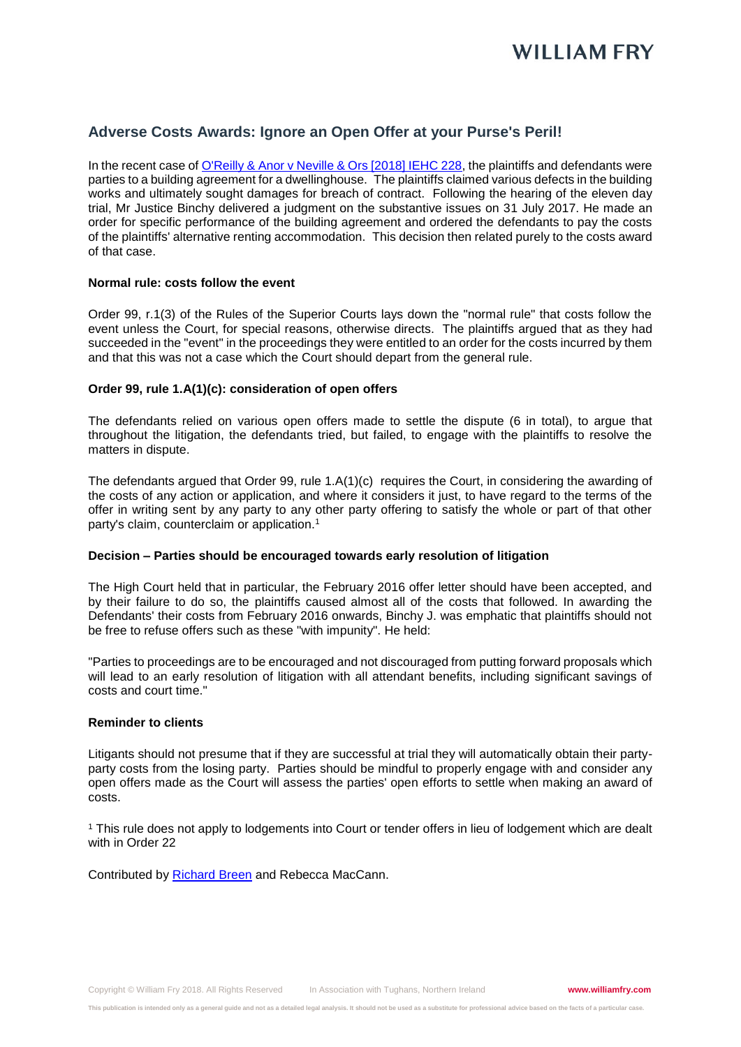

### **Adverse Costs Awards: Ignore an Open Offer at your Purse's Peril!**

In the recent case of [O'Reilly & Anor v Neville & Ors \[2018\] IEHC 228,](http://www.courts.ie/Judgments.nsf/09859e7a3f34669680256ef3004a27de/477e85b68c4185b38025828200499121?OpenDocument) the plaintiffs and defendants were parties to a building agreement for a dwellinghouse. The plaintiffs claimed various defects in the building works and ultimately sought damages for breach of contract. Following the hearing of the eleven day trial, Mr Justice Binchy delivered a judgment on the substantive issues on 31 July 2017. He made an order for specific performance of the building agreement and ordered the defendants to pay the costs of the plaintiffs' alternative renting accommodation. This decision then related purely to the costs award of that case.

#### **Normal rule: costs follow the event**

Order 99, r.1(3) of the Rules of the Superior Courts lays down the "normal rule" that costs follow the event unless the Court, for special reasons, otherwise directs. The plaintiffs argued that as they had succeeded in the "event" in the proceedings they were entitled to an order for the costs incurred by them and that this was not a case which the Court should depart from the general rule.

#### **Order 99, rule 1.A(1)(c): consideration of open offers**

The defendants relied on various open offers made to settle the dispute (6 in total), to argue that throughout the litigation, the defendants tried, but failed, to engage with the plaintiffs to resolve the matters in dispute.

The defendants argued that Order 99, rule 1.A(1)(c) requires the Court, in considering the awarding of the costs of any action or application, and where it considers it just, to have regard to the terms of the offer in writing sent by any party to any other party offering to satisfy the whole or part of that other party's claim, counterclaim or application.<sup>1</sup>

#### **Decision – Parties should be encouraged towards early resolution of litigation**

The High Court held that in particular, the February 2016 offer letter should have been accepted, and by their failure to do so, the plaintiffs caused almost all of the costs that followed. In awarding the Defendants' their costs from February 2016 onwards, Binchy J. was emphatic that plaintiffs should not be free to refuse offers such as these "with impunity". He held:

"Parties to proceedings are to be encouraged and not discouraged from putting forward proposals which will lead to an early resolution of litigation with all attendant benefits, including significant savings of costs and court time."

#### **Reminder to clients**

Litigants should not presume that if they are successful at trial they will automatically obtain their partyparty costs from the losing party. Parties should be mindful to properly engage with and consider any open offers made as the Court will assess the parties' open efforts to settle when making an award of costs.

<sup>1</sup> This rule does not apply to lodgements into Court or tender offers in lieu of lodgement which are dealt with in Order 22

Contributed by [Richard Breen](https://www.williamfry.com/our-people/bio/richard-breen) and Rebecca MacCann.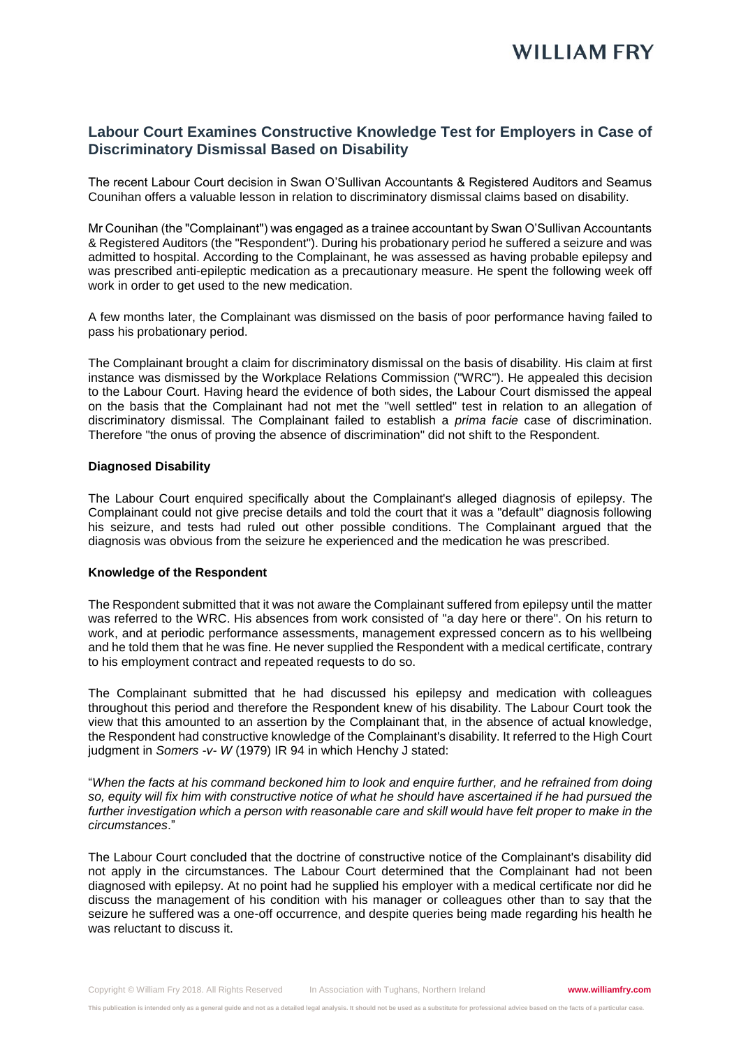## **Labour Court Examines Constructive Knowledge Test for Employers in Case of Discriminatory Dismissal Based on Disability**

The recent Labour Court decision in Swan O'Sullivan Accountants & Registered Auditors and Seamus Counihan offers a valuable lesson in relation to discriminatory dismissal claims based on disability.

Mr Counihan (the "Complainant") was engaged as a trainee accountant by Swan O'Sullivan Accountants & Registered Auditors (the "Respondent"). During his probationary period he suffered a seizure and was admitted to hospital. According to the Complainant, he was assessed as having probable epilepsy and was prescribed anti-epileptic medication as a precautionary measure. He spent the following week off work in order to get used to the new medication.

A few months later, the Complainant was dismissed on the basis of poor performance having failed to pass his probationary period.

The Complainant brought a claim for discriminatory dismissal on the basis of disability. His claim at first instance was dismissed by the Workplace Relations Commission ("WRC"). He appealed this decision to the Labour Court. Having heard the evidence of both sides, the Labour Court dismissed the appeal on the basis that the Complainant had not met the "well settled" test in relation to an allegation of discriminatory dismissal. The Complainant failed to establish a *prima facie* case of discrimination. Therefore "the onus of proving the absence of discrimination" did not shift to the Respondent.

#### **Diagnosed Disability**

The Labour Court enquired specifically about the Complainant's alleged diagnosis of epilepsy. The Complainant could not give precise details and told the court that it was a "default" diagnosis following his seizure, and tests had ruled out other possible conditions. The Complainant argued that the diagnosis was obvious from the seizure he experienced and the medication he was prescribed.

#### **Knowledge of the Respondent**

The Respondent submitted that it was not aware the Complainant suffered from epilepsy until the matter was referred to the WRC. His absences from work consisted of "a day here or there". On his return to work, and at periodic performance assessments, management expressed concern as to his wellbeing and he told them that he was fine. He never supplied the Respondent with a medical certificate, contrary to his employment contract and repeated requests to do so.

The Complainant submitted that he had discussed his epilepsy and medication with colleagues throughout this period and therefore the Respondent knew of his disability. The Labour Court took the view that this amounted to an assertion by the Complainant that, in the absence of actual knowledge, the Respondent had constructive knowledge of the Complainant's disability. It referred to the High Court judgment in *Somers -v- W* (1979) IR 94 in which Henchy J stated:

"*When the facts at his command beckoned him to look and enquire further, and he refrained from doing so, equity will fix him with constructive notice of what he should have ascertained if he had pursued the further investigation which a person with reasonable care and skill would have felt proper to make in the circumstances*."

The Labour Court concluded that the doctrine of constructive notice of the Complainant's disability did not apply in the circumstances. The Labour Court determined that the Complainant had not been diagnosed with epilepsy. At no point had he supplied his employer with a medical certificate nor did he discuss the management of his condition with his manager or colleagues other than to say that the seizure he suffered was a one-off occurrence, and despite queries being made regarding his health he was reluctant to discuss it.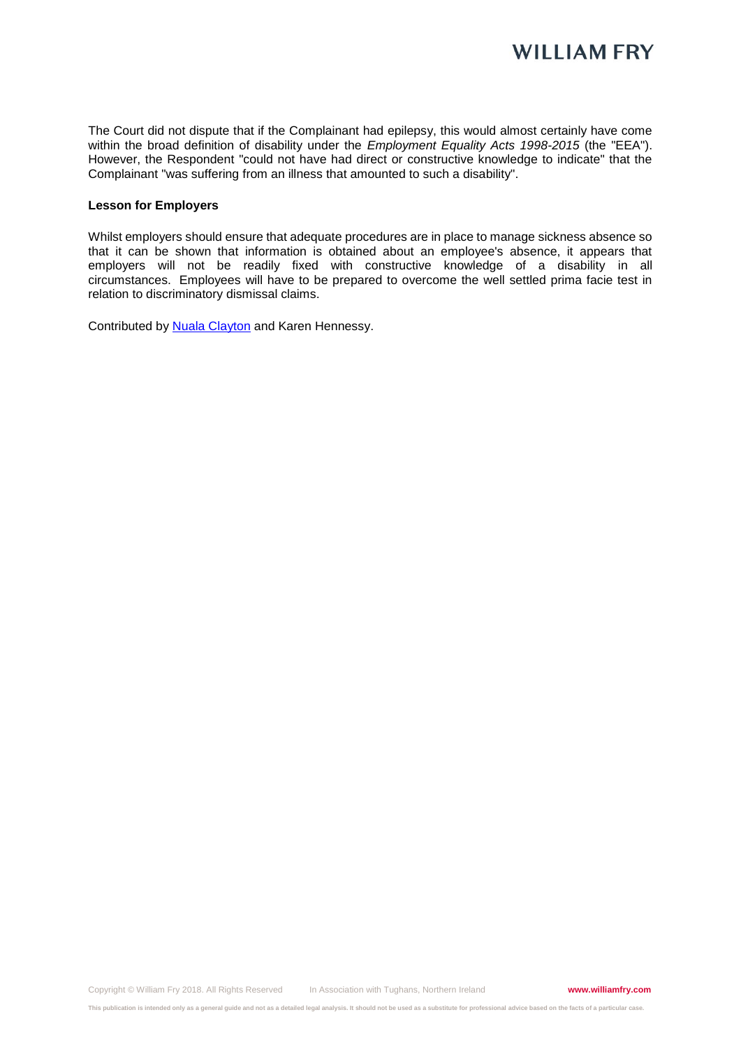The Court did not dispute that if the Complainant had epilepsy, this would almost certainly have come within the broad definition of disability under the *Employment Equality Acts 1998-2015* (the "EEA"). However, the Respondent "could not have had direct or constructive knowledge to indicate" that the Complainant "was suffering from an illness that amounted to such a disability".

#### **Lesson for Employers**

Whilst employers should ensure that adequate procedures are in place to manage sickness absence so that it can be shown that information is obtained about an employee's absence, it appears that employers will not be readily fixed with constructive knowledge of a disability in all circumstances. Employees will have to be prepared to overcome the well settled prima facie test in relation to discriminatory dismissal claims.

Contributed by **Nuala Clayton** and Karen Hennessy.

**This publication is intended only as a general guide and not as a detailed legal analysis. It should not be used as a substitute for professional advice based on the facts of a particular case.**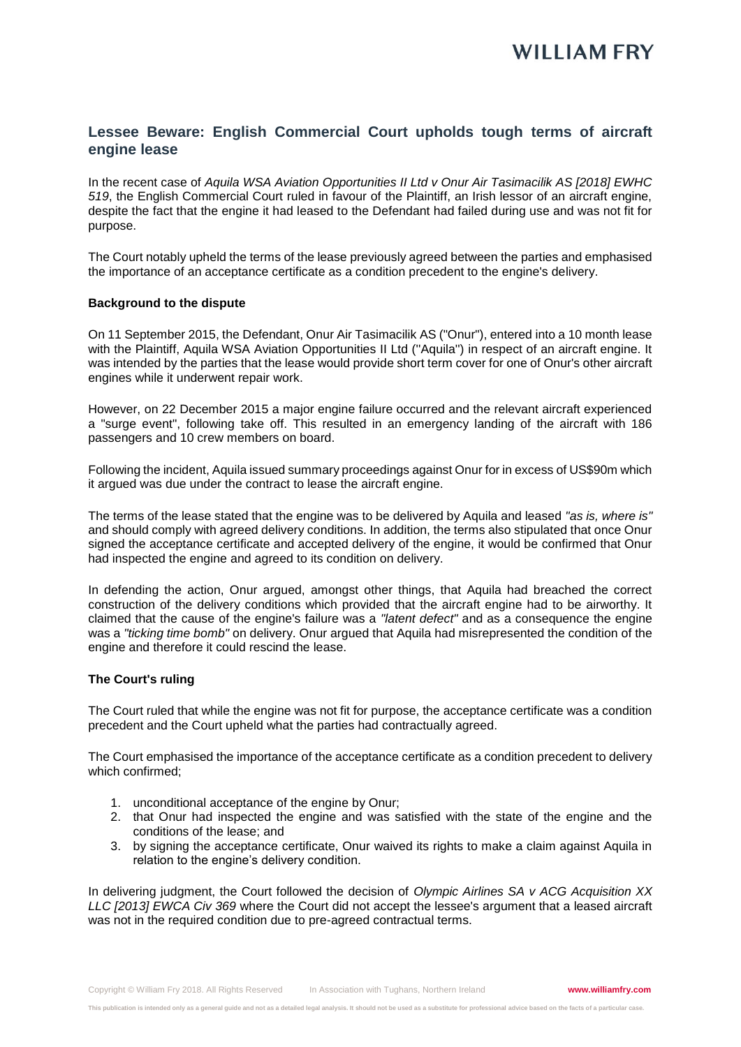## **Lessee Beware: English Commercial Court upholds tough terms of aircraft engine lease**

In the recent case of *Aquila WSA Aviation Opportunities II Ltd v Onur Air Tasimacilik AS [2018] EWHC 519*, the English Commercial Court ruled in favour of the Plaintiff, an Irish lessor of an aircraft engine, despite the fact that the engine it had leased to the Defendant had failed during use and was not fit for purpose.

The Court notably upheld the terms of the lease previously agreed between the parties and emphasised the importance of an acceptance certificate as a condition precedent to the engine's delivery.

#### **Background to the dispute**

On 11 September 2015, the Defendant, Onur Air Tasimacilik AS ("Onur"), entered into a 10 month lease with the Plaintiff, Aquila WSA Aviation Opportunities II Ltd (''Aquila'') in respect of an aircraft engine. It was intended by the parties that the lease would provide short term cover for one of Onur's other aircraft engines while it underwent repair work.

However, on 22 December 2015 a major engine failure occurred and the relevant aircraft experienced a "surge event", following take off. This resulted in an emergency landing of the aircraft with 186 passengers and 10 crew members on board.

Following the incident, Aquila issued summary proceedings against Onur for in excess of US\$90m which it argued was due under the contract to lease the aircraft engine.

The terms of the lease stated that the engine was to be delivered by Aquila and leased *"as is, where is"*  and should comply with agreed delivery conditions. In addition, the terms also stipulated that once Onur signed the acceptance certificate and accepted delivery of the engine, it would be confirmed that Onur had inspected the engine and agreed to its condition on delivery.

In defending the action, Onur argued, amongst other things, that Aquila had breached the correct construction of the delivery conditions which provided that the aircraft engine had to be airworthy. It claimed that the cause of the engine's failure was a *"latent defect"* and as a consequence the engine was a *"ticking time bomb"* on delivery. Onur argued that Aquila had misrepresented the condition of the engine and therefore it could rescind the lease.

#### **The Court's ruling**

The Court ruled that while the engine was not fit for purpose, the acceptance certificate was a condition precedent and the Court upheld what the parties had contractually agreed.

The Court emphasised the importance of the acceptance certificate as a condition precedent to delivery which confirmed;

- 1. unconditional acceptance of the engine by Onur;
- 2. that Onur had inspected the engine and was satisfied with the state of the engine and the conditions of the lease; and
- 3. by signing the acceptance certificate, Onur waived its rights to make a claim against Aquila in relation to the engine's delivery condition.

In delivering judgment, the Court followed the decision of *Olympic Airlines SA v ACG Acquisition XX LLC [2013] EWCA Civ 369* where the Court did not accept the lessee's argument that a leased aircraft was not in the required condition due to pre-agreed contractual terms.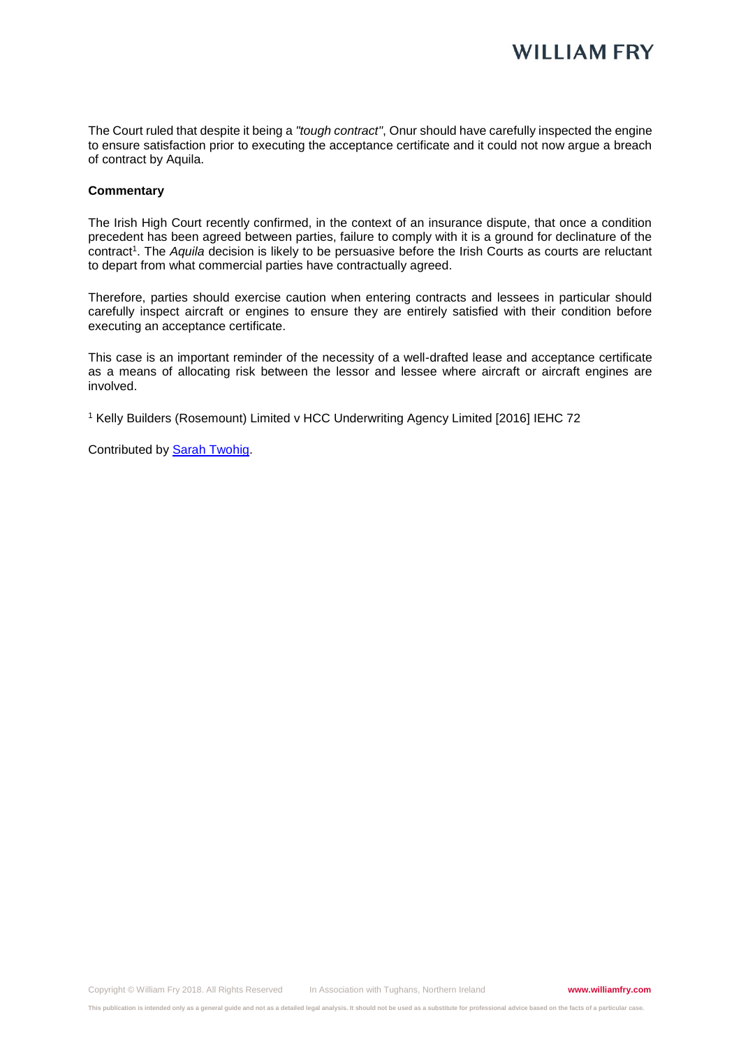The Court ruled that despite it being a *"tough contract"*, Onur should have carefully inspected the engine to ensure satisfaction prior to executing the acceptance certificate and it could not now argue a breach of contract by Aquila.

#### **Commentary**

The Irish High Court recently confirmed, in the context of an insurance dispute, that once a condition precedent has been agreed between parties, failure to comply with it is a ground for declinature of the contract<sup>1</sup>. The *Aquila* decision is likely to be persuasive before the Irish Courts as courts are reluctant to depart from what commercial parties have contractually agreed.

Therefore, parties should exercise caution when entering contracts and lessees in particular should carefully inspect aircraft or engines to ensure they are entirely satisfied with their condition before executing an acceptance certificate.

This case is an important reminder of the necessity of a well-drafted lease and acceptance certificate as a means of allocating risk between the lessor and lessee where aircraft or aircraft engines are involved.

<sup>1</sup> Kelly Builders (Rosemount) Limited v HCC Underwriting Agency Limited [2016] IEHC 72

Contributed by [Sarah Twohig.](https://www.williamfry.com/our-people/bio/sarah-twohig)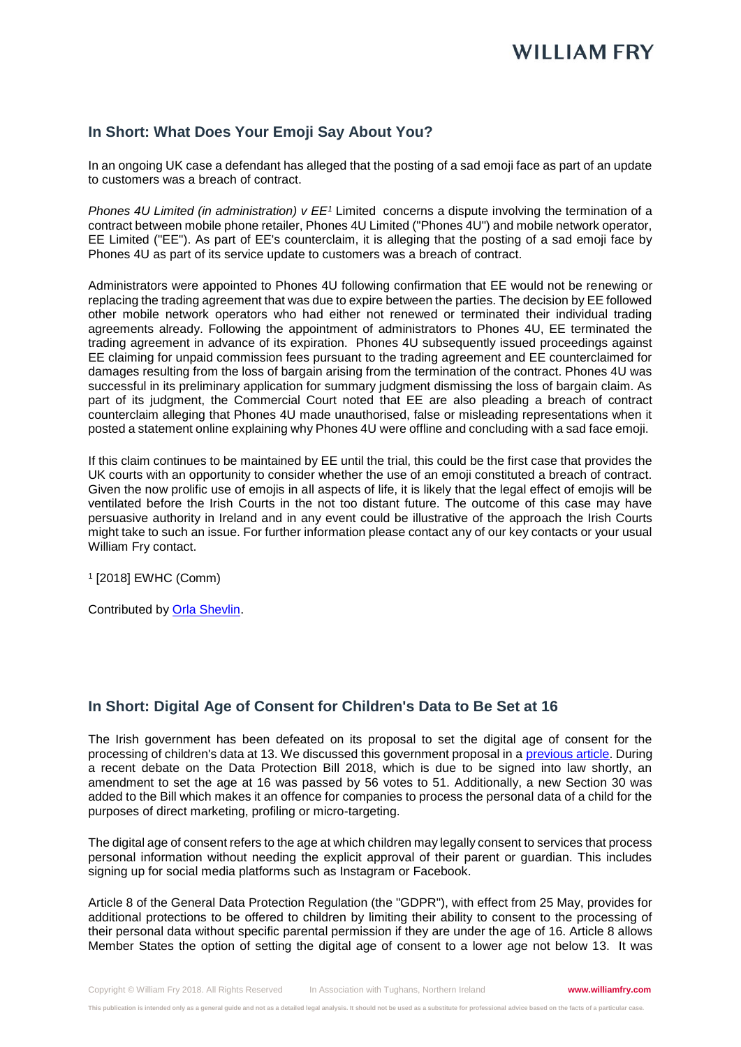## **In Short: What Does Your Emoji Say About You?**

In an ongoing UK case a defendant has alleged that the posting of a sad emoji face as part of an update to customers was a breach of contract.

*Phones 4U Limited (in administration) v EE<sup>1</sup>* Limited concerns a dispute involving the termination of a contract between mobile phone retailer, Phones 4U Limited ("Phones 4U") and mobile network operator, EE Limited ("EE"). As part of EE's counterclaim, it is alleging that the posting of a sad emoji face by Phones 4U as part of its service update to customers was a breach of contract.

Administrators were appointed to Phones 4U following confirmation that EE would not be renewing or replacing the trading agreement that was due to expire between the parties. The decision by EE followed other mobile network operators who had either not renewed or terminated their individual trading agreements already. Following the appointment of administrators to Phones 4U, EE terminated the trading agreement in advance of its expiration. Phones 4U subsequently issued proceedings against EE claiming for unpaid commission fees pursuant to the trading agreement and EE counterclaimed for damages resulting from the loss of bargain arising from the termination of the contract. Phones 4U was successful in its preliminary application for summary judgment dismissing the loss of bargain claim. As part of its judgment, the Commercial Court noted that EE are also pleading a breach of contract counterclaim alleging that Phones 4U made unauthorised, false or misleading representations when it posted a statement online explaining why Phones 4U were offline and concluding with a sad face emoji.

If this claim continues to be maintained by EE until the trial, this could be the first case that provides the UK courts with an opportunity to consider whether the use of an emoji constituted a breach of contract. Given the now prolific use of emojis in all aspects of life, it is likely that the legal effect of emojis will be ventilated before the Irish Courts in the not too distant future. The outcome of this case may have persuasive authority in Ireland and in any event could be illustrative of the approach the Irish Courts might take to such an issue. For further information please contact any of our key contacts or your usual William Fry contact.

1 [2018] EWHC (Comm)

Contributed by [Orla Shevlin.](https://www.williamfry.com/our-people/bio/orla-shevlin)

### **In Short: Digital Age of Consent for Children's Data to Be Set at 16**

The Irish government has been defeated on its proposal to set the digital age of consent for the processing of children's data at 13. We discussed this government proposal in a [previous article.](https://www.williamfry.com/newsandinsights/news-article/2017/08/09/digital-age-of-consent-for-children) During a recent debate on the Data Protection Bill 2018, which is due to be signed into law shortly, an amendment to set the age at 16 was passed by 56 votes to 51. Additionally, a new Section 30 was added to the Bill which makes it an offence for companies to process the personal data of a child for the purposes of direct marketing, profiling or micro-targeting.

The digital age of consent refers to the age at which children may legally consent to services that process personal information without needing the explicit approval of their parent or guardian. This includes signing up for social media platforms such as Instagram or Facebook.

Article 8 of the General Data Protection Regulation (the "GDPR"), with effect from 25 May, provides for additional protections to be offered to children by limiting their ability to consent to the processing of their personal data without specific parental permission if they are under the age of 16. Article 8 allows Member States the option of setting the digital age of consent to a lower age not below 13. It was